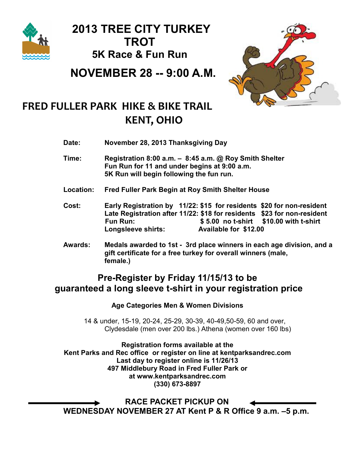

 2013 TREE CITY TURKEY **TROT** 5K Race & Fun Run

NOVEMBER 28 -- 9:00 A.M.



# FRED FULLER PARK HIKE & BIKE TRAIL KENT, OHIO

Date: November 28, 2013 Thanksgiving Day

- Time: Registration 8:00 a.m. 8:45 a.m. @ Roy Smith Shelter Fun Run for 11 and under begins at 9:00 a.m. 5K Run will begin following the fun run.
- Location: Fred Fuller Park Begin at Roy Smith Shelter House
- Cost: Early Registration by 11/22: \$15 for residents \$20 for non-resident Late Registration after 11/22: \$18 for residents \$23 for non-resident Fun Run: \$ 5.00 no t-shirt \$10.00 with t-shirt Longsleeve shirts: Available for \$12.00
- Awards: Medals awarded to 1st 3rd place winners in each age division, and a gift certificate for a free turkey for overall winners (male, female.)

## Pre-Register by Friday 11/15/13 to be guaranteed a long sleeve t-shirt in your registration price

#### Age Categories Men & Women Divisions

 14 & under, 15-19, 20-24, 25-29, 30-39, 40-49,50-59, 60 and over, Clydesdale (men over 200 lbs.) Athena (women over 160 lbs)

Registration forms available at the Kent Parks and Rec office or register on line at kentparksandrec.com Last day to register online is 11/26/13 497 Middlebury Road in Fred Fuller Park or at www.kentparksandrec.com (330) 673-8897

 RACE PACKET PICKUP ON WEDNESDAY NOVEMBER 27 AT Kent P & R Office 9 a.m. –5 p.m.